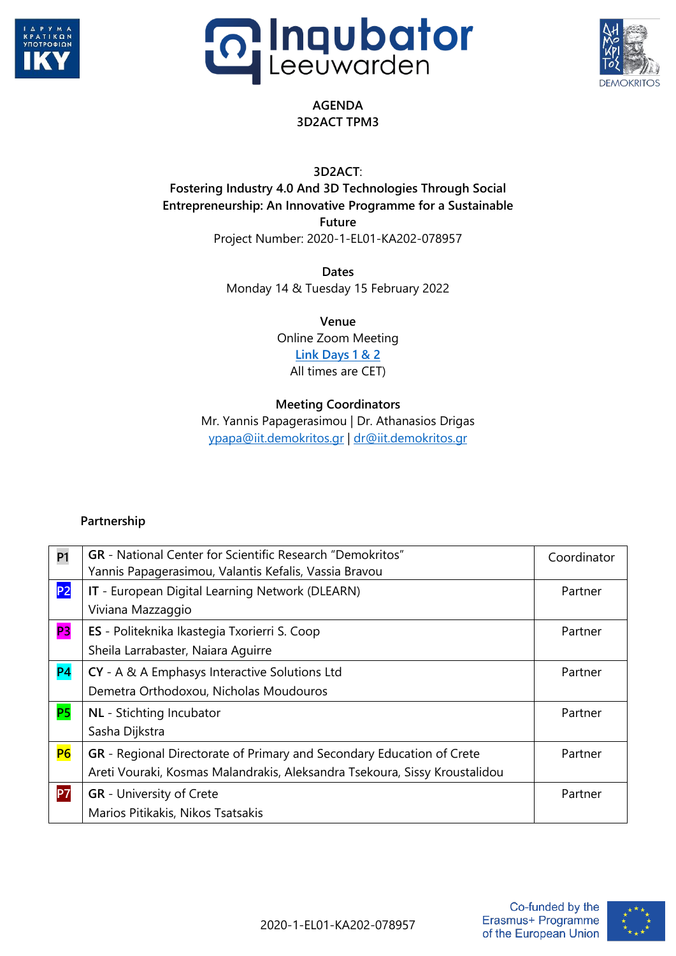





## **AGENDA 3D2ACT TPM3**

**3D2ACT**:

**Fostering Industry 4.0 And 3D Technologies Through Social Entrepreneurship: An Innovative Programme for a Sustainable**

**Future**

Project Number: 2020-1-EL01-KA202-078957

**Dates** Monday 14 & Tuesday 15 February 2022

> **Venue** Online Zoom Meeting **[Link Days](https://us02web.zoom.us/j/87035539390?pwd=Y3lHeWd4cmYvY2Z1YVlYOHI0cXdaUT09) 1 & 2** All times are CET)

## **Meeting Coordinators**

Mr. Yannis Papagerasimou | Dr. Athanasios Drigas [ypapa@iit.demokritos.gr](mailto:ypapa@iit.demokritos.gr) | [dr@iit.demokritos.gr](mailto:dr@iit.demokritos.gr)

## **Partnership**

| <b>P1</b>      | <b>GR</b> - National Center for Scientific Research "Demokritos"<br>Yannis Papagerasimou, Valantis Kefalis, Vassia Bravou                           | Coordinator |
|----------------|-----------------------------------------------------------------------------------------------------------------------------------------------------|-------------|
| P <sub>2</sub> | IT - European Digital Learning Network (DLEARN)<br>Viviana Mazzaggio                                                                                | Partner     |
| <b>P3</b>      | ES - Politeknika Ikastegia Txorierri S. Coop<br>Sheila Larrabaster, Naiara Aguirre                                                                  | Partner     |
| P <sub>4</sub> | CY - A & A Emphasys Interactive Solutions Ltd<br>Demetra Orthodoxou, Nicholas Moudouros                                                             | Partner     |
| <b>P5</b>      | NL - Stichting Incubator<br>Sasha Dijkstra                                                                                                          | Partner     |
| P <sub>6</sub> | GR - Regional Directorate of Primary and Secondary Education of Crete<br>Areti Vouraki, Kosmas Malandrakis, Aleksandra Tsekoura, Sissy Kroustalidou | Partner     |
| <b>P7</b>      | <b>GR</b> - University of Crete<br>Marios Pitikakis, Nikos Tsatsakis                                                                                | Partner     |

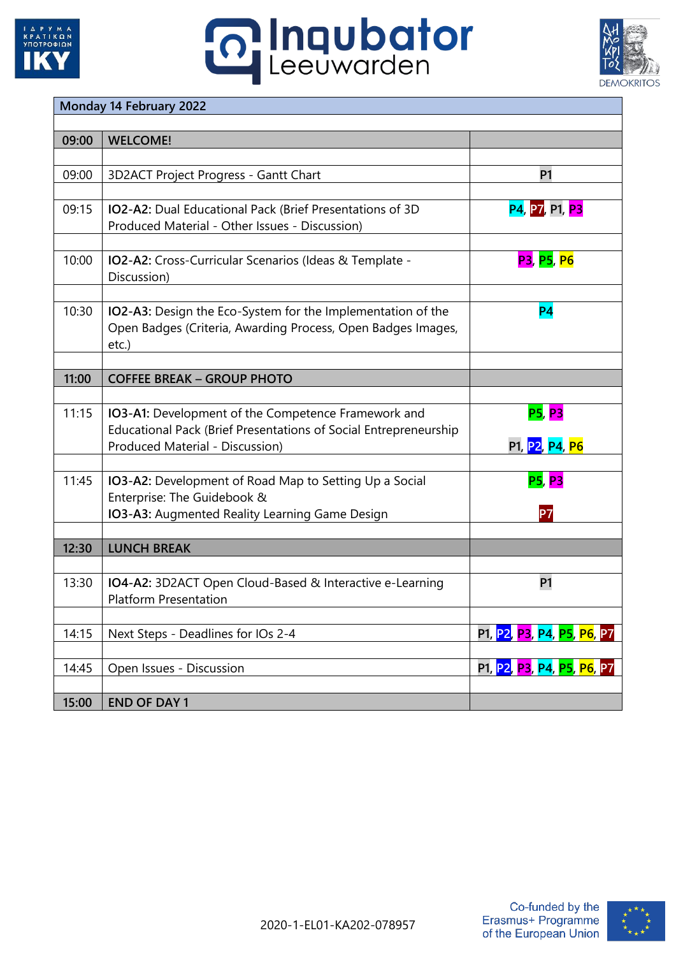

## **o Inqubator**



| Monday 14 February 2022 |                                                                  |                                         |  |
|-------------------------|------------------------------------------------------------------|-----------------------------------------|--|
|                         |                                                                  |                                         |  |
| 09:00                   | <b>WELCOME!</b>                                                  |                                         |  |
|                         |                                                                  |                                         |  |
| 09:00                   | 3D2ACT Project Progress - Gantt Chart                            | <b>P1</b>                               |  |
|                         |                                                                  |                                         |  |
| 09:15                   | IO2-A2: Dual Educational Pack (Brief Presentations of 3D         | <b>P4, P7, P1, P3</b>                   |  |
|                         | Produced Material - Other Issues - Discussion)                   |                                         |  |
|                         |                                                                  |                                         |  |
| 10:00                   |                                                                  | <b>P3, P5, P6</b>                       |  |
|                         | IO2-A2: Cross-Curricular Scenarios (Ideas & Template -           |                                         |  |
|                         | Discussion)                                                      |                                         |  |
|                         |                                                                  |                                         |  |
| 10:30                   | IO2-A3: Design the Eco-System for the Implementation of the      | P <sub>4</sub>                          |  |
|                         | Open Badges (Criteria, Awarding Process, Open Badges Images,     |                                         |  |
|                         | $etc.$ )                                                         |                                         |  |
|                         |                                                                  |                                         |  |
| 11:00                   | <b>COFFEE BREAK - GROUP PHOTO</b>                                |                                         |  |
|                         |                                                                  |                                         |  |
| 11:15                   | IO3-A1: Development of the Competence Framework and              | <b>P5, P3</b>                           |  |
|                         | Educational Pack (Brief Presentations of Social Entrepreneurship |                                         |  |
|                         | Produced Material - Discussion)                                  | P1, P2, P4, P6                          |  |
|                         |                                                                  |                                         |  |
| 11:45                   | IO3-A2: Development of Road Map to Setting Up a Social           | <b>P5, P3</b>                           |  |
|                         | Enterprise: The Guidebook &                                      |                                         |  |
|                         | IO3-A3: Augmented Reality Learning Game Design                   | P7                                      |  |
|                         |                                                                  |                                         |  |
|                         |                                                                  |                                         |  |
| 12:30                   | <b>LUNCH BREAK</b>                                               |                                         |  |
|                         |                                                                  |                                         |  |
| 13:30                   | IO4-A2: 3D2ACT Open Cloud-Based & Interactive e-Learning         | P1                                      |  |
|                         | <b>Platform Presentation</b>                                     |                                         |  |
|                         |                                                                  |                                         |  |
| 14:15                   | Next Steps - Deadlines for IOs 2-4                               | P1, <mark>P2, P3, P4, P5, P6, P7</mark> |  |
|                         |                                                                  |                                         |  |
| 14:45                   | Open Issues - Discussion                                         | P1, P2, P3, P4, P5, P6, P7              |  |
|                         |                                                                  |                                         |  |
| 15:00                   | <b>END OF DAY 1</b>                                              |                                         |  |